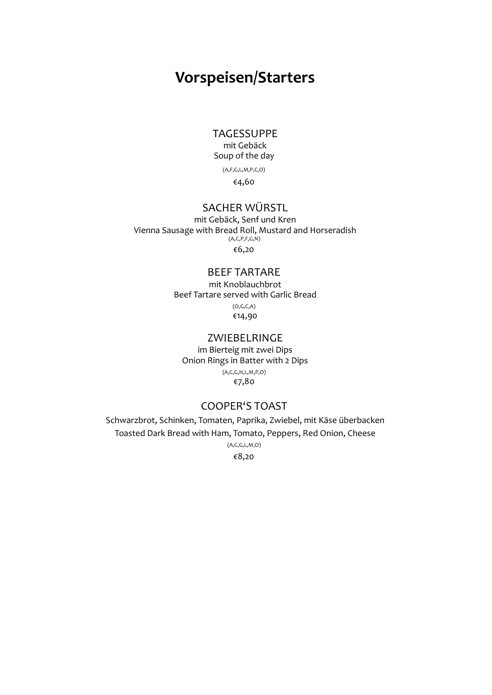## Vorspeisen/Starters

TAGESSUPPE

mit Gebäck Soup of the day

(A,F,G,L,M,P,C,O)

€4,60

#### SACHER WÜRSTL

mit Gebäck, Senf und Kren Vienna Sausage with Bread Roll, Mustard and Horseradish  $(A, C, P, F, G, N)$ €6,20

#### BEEF TARTARE

mit Knoblauchbrot Beef Tartare served with Garlic Bread (O,G,C,A) €14,90

#### ZWIEBELRINGE

im Bierteig mit zwei Dips Onion Rings in Batter with 2 Dips (A,C,G,H,L,M,P,O) €7,80

#### COOPER'S TOAST

Schwarzbrot, Schinken, Tomaten, Paprika, Zwiebel, mit Käse überbacken Toasted Dark Bread with Ham, Tomato, Peppers, Red Onion, Cheese (A,C,G,L,M,O)

€8,20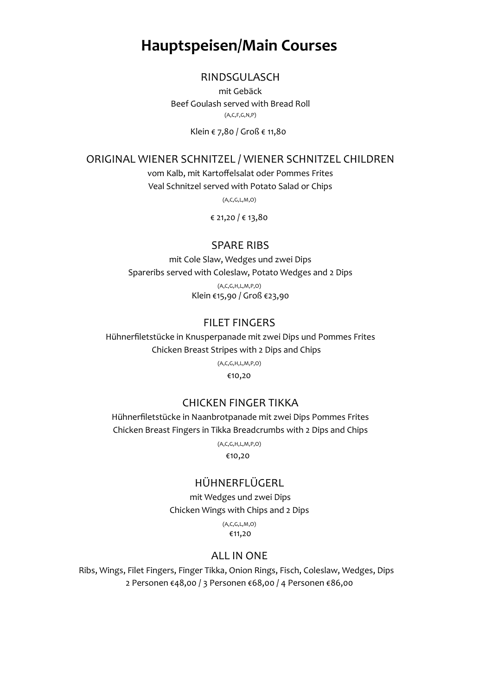## Hauptspeisen/Main Courses

#### RINDSGULASCH

mit Gebäck Beef Goulash served with Bread Roll (A,C,F,G,N,P)

Klein € 7,80 / Groß € 11,80

ORIGINAL WIENER SCHNITZEL / WIENER SCHNITZEL CHILDREN

vom Kalb, mit Kartoffelsalat oder Pommes Frites

Veal Schnitzel served with Potato Salad or Chips

(A,C,G,L,M,O)

€ 21,20 / € 13,80

#### SPARE RIBS

mit Cole Slaw, Wedges und zwei Dips Spareribs served with Coleslaw, Potato Wedges and 2 Dips (A,C,G,H,L,M,P,O) Klein €15,90 / Groß €23,90

#### FILET FINGERS

Hühnerfiletstücke in Knusperpanade mit zwei Dips und Pommes Frites Chicken Breast Stripes with 2 Dips and Chips

> (A,C,G,H,L,M,P,O) €10,20

#### CHICKEN FINGER TIKKA

Hühnerfiletstücke in Naanbrotpanade mit zwei Dips Pommes Frites Chicken Breast Fingers in Tikka Breadcrumbs with 2 Dips and Chips

(A,C,G,H,L,M,P,O)

€10,20

#### HÜHNERFLÜGERL

mit Wedges und zwei Dips Chicken Wings with Chips and 2 Dips

> (A,C,G,L,M,O) €11,20

#### ALL IN ONE

Ribs, Wings, Filet Fingers, Finger Tikka, Onion Rings, Fisch, Coleslaw, Wedges, Dips 2 Personen €48,00 / 3 Personen €68,00 / 4 Personen €86,00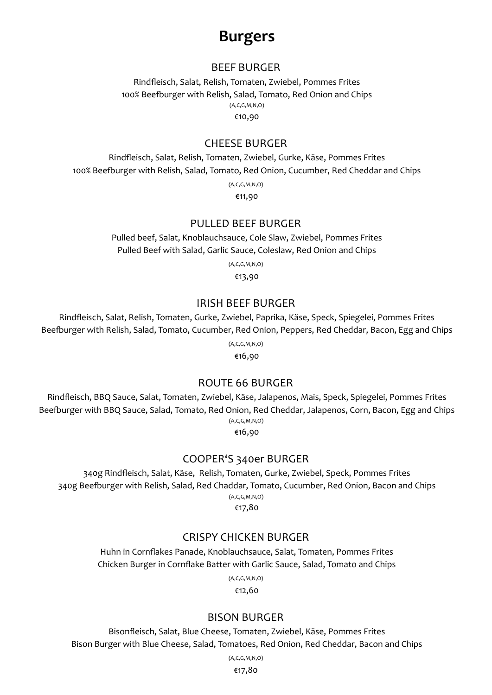## Burgers

#### BEEF BURGER

Rindfleisch, Salat, Relish, Tomaten, Zwiebel, Pommes Frites 100% Beefburger with Relish, Salad, Tomato, Red Onion and Chips (A,C,G,M,N,O) €10,90

#### CHEESE BURGER

Rindfleisch, Salat, Relish, Tomaten, Zwiebel, Gurke, Käse, Pommes Frites 100% BeeƟurger with Relish, Salad, Tomato, Red Onion, Cucumber, Red Cheddar and Chips

(A,C,G,M,N,O)

€11,90

#### PULLED BEEF BURGER

Pulled beef, Salat, Knoblauchsauce, Cole Slaw, Zwiebel, Pommes Frites Pulled Beef with Salad, Garlic Sauce, Coleslaw, Red Onion and Chips

(A,C,G,M,N,O)

€13,90

#### IRISH BEEF BURGER

Rindfleisch, Salat, Relish, Tomaten, Gurke, Zwiebel, Paprika, Käse, Speck, Spiegelei, Pommes Frites Beefburger with Relish, Salad, Tomato, Cucumber, Red Onion, Peppers, Red Cheddar, Bacon, Egg and Chips

(A,C,G,M,N,O)

€16,90

#### ROUTE 66 BURGER

Rindfleisch, BBQ Sauce, Salat, Tomaten, Zwiebel, Käse, Jalapenos, Mais, Speck, Spiegelei, Pommes Frites Beefburger with BBQ Sauce, Salad, Tomato, Red Onion, Red Cheddar, Jalapenos, Corn, Bacon, Egg and Chips (A,C,G,M,N,O)

€16,90

#### COOPER'S 340er BURGER

340g Rindfleisch, Salat, Käse, Relish, Tomaten, Gurke, Zwiebel, Speck, Pommes Frites 340g Beefburger with Relish, Salad, Red Chaddar, Tomato, Cucumber, Red Onion, Bacon and Chips (A,C,G,M,N,O)

€17,80

#### CRISPY CHICKEN BURGER

Huhn in Cornflakes Panade, Knoblauchsauce, Salat, Tomaten, Pommes Frites Chicken Burger in Cornflake Batter with Garlic Sauce, Salad, Tomato and Chips

> (A,C,G,M,N,O) €12,60

#### BISON BURGER

Bisonfleisch, Salat, Blue Cheese, Tomaten, Zwiebel, Käse, Pommes Frites Bison Burger with Blue Cheese, Salad, Tomatoes, Red Onion, Red Cheddar, Bacon and Chips

> (A,C,G,M,N,O) €17,80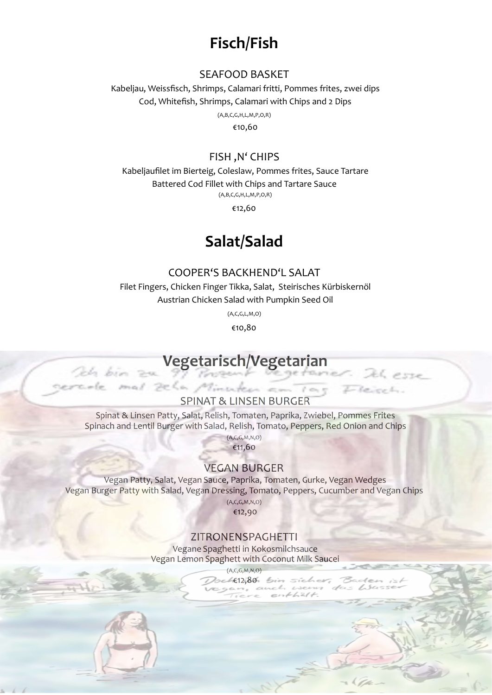# Fisch/Fish

#### SEAFOOD BASKET

Kabeljau, Weissfisch, Shrimps, Calamari fritti, Pommes frites, zwei dips Cod, Whitefish, Shrimps, Calamari with Chips and 2 Dips (A,B,C,G,H,L,M,P,O,R) €10,60

#### FISH, N' CHIPS

Kabeljaufilet im Bierteig, Coleslaw, Pommes frites, Sauce Tartare Battered Cod Fillet with Chips and Tartare Sauce (A,B,C,G,H,L,M,P,O,R)

€12,60

### Salat/Salad

#### COOPER'S BACKHEND'L SALAT

Filet Fingers, Chicken Finger Tikka, Salat, Steirisches Kürbiskernöl Austrian Chicken Salad with Pumpkin Seed Oil

(A,C,G,L,M,O)

€10,80

# Vegetarisch/Vegetarian

Och bin 24

#### **SPINAT & LINSEN BURGER**

mal zela Minuten am Tag

Spinat & Linsen Patty, Salat, Relish, Tomaten, Paprika, Zwiebel, Pommes Frites Spinach and Lentil Burger with Salad, Relish, Tomato, Peppers, Red Onion and Chips

 $(A,C,G,M,N,O)$ 

€11,60

#### **VEGAN BURGER**

Vegan Patty, Salat, Vegan Sauce, Paprika, Tomaten, Gurke, Vegan Wedges Vegan Burger Patty with Salad, Vegan Dressing, Tomato, Peppers, Cucumber and Vegan Chips  $(A,C,G,M,N,O)$ 

€12,90

#### ZITRONENSPAGHETTI

Vegane Spaghetti in Kokosmilchsauce Vegan Lemon Spaghett with Coconut Milk Saucei

 $(A, C, G, M, N, O)$ 

 $4.80.$  bin sicher,  $-11712$ 

: 26 esse

circl.